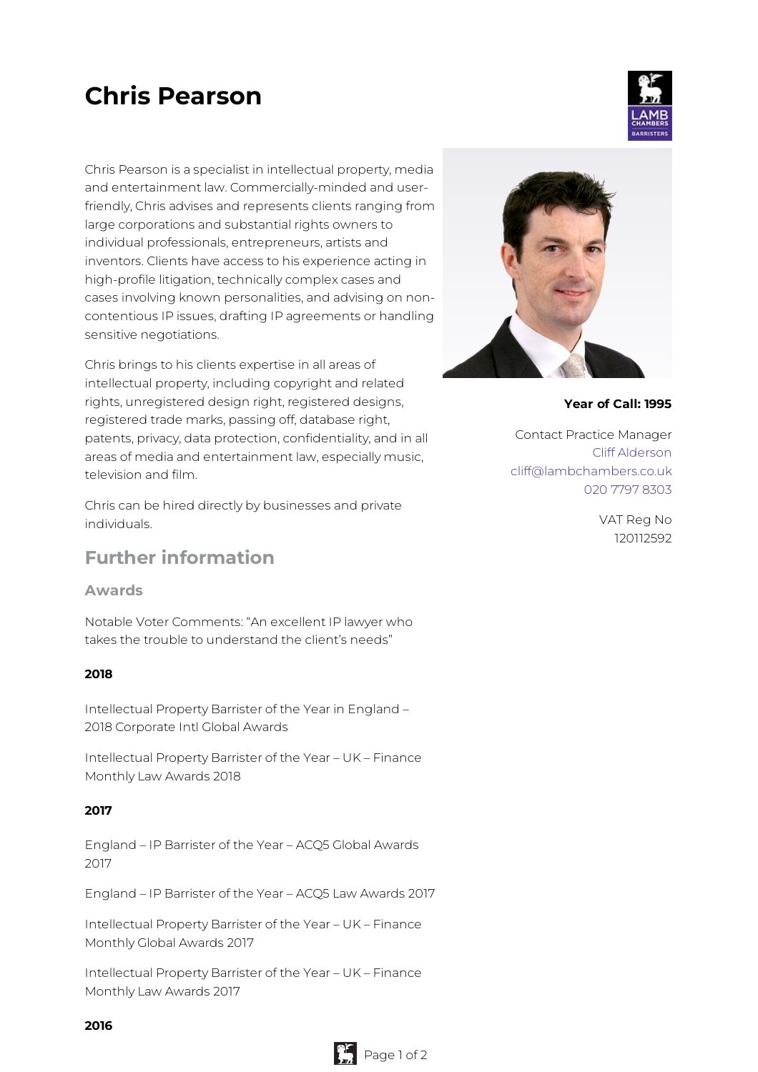# **Chris Pearson**

Chris Pearson is a specialist in intellectual property, media and entertainment law. Commercially-minded and userfriendly, Chris advises and represents clients ranging from large corporations and substantial rights owners to individual professionals, entrepreneurs, artists and inventors. Clients have access to his experience acting in high-profile litigation, technically complex cases and cases involving known personalities, and advising on noncontentious IP issues, drafting IP agreements or handling sensitive negotiations.

Chris brings to his clients expertise in all areas of intellectual property, including copyright and related rights, unregistered design right, registered designs, registered trade marks, passing off, database right, patents, privacy, data protection, confidentiality, and in all areas of media and entertainment law, especially music, television and film.

Chris can be hired directly by businesses and private individuals.

## **Further information**

#### **Awards**

Notable Voter Comments: "An excellent IP lawyer who takes the trouble to understand the client's needs"

#### **2018**

Intellectual Property Barrister of the Year in England – 2018 Corporate Intl Global Awards

Intellectual Property Barrister of the Year – UK – Finance Monthly Law Awards 2018

#### **2017**

England – IP Barrister of the Year – ACQ5 Global Awards 2017

England – IP Barrister of the Year – ACQ5 Law Awards 2017

Intellectual Property Barrister of the Year – UK – Finance Monthly Global Awards 2017

Intellectual Property Barrister of the Year – UK – Finance Monthly Law Awards 2017



**Year of Call: 1995**

Contact Practice Manager Cliff [Alderson](mailto:cliff@lambchambers.co.uk) [cliff@lambchambers.co.uk](mailto:cliff@lambchambers.co.uk) 020 7797 [8303](tel:020%207797%208303)

> VAT Reg No 120112592